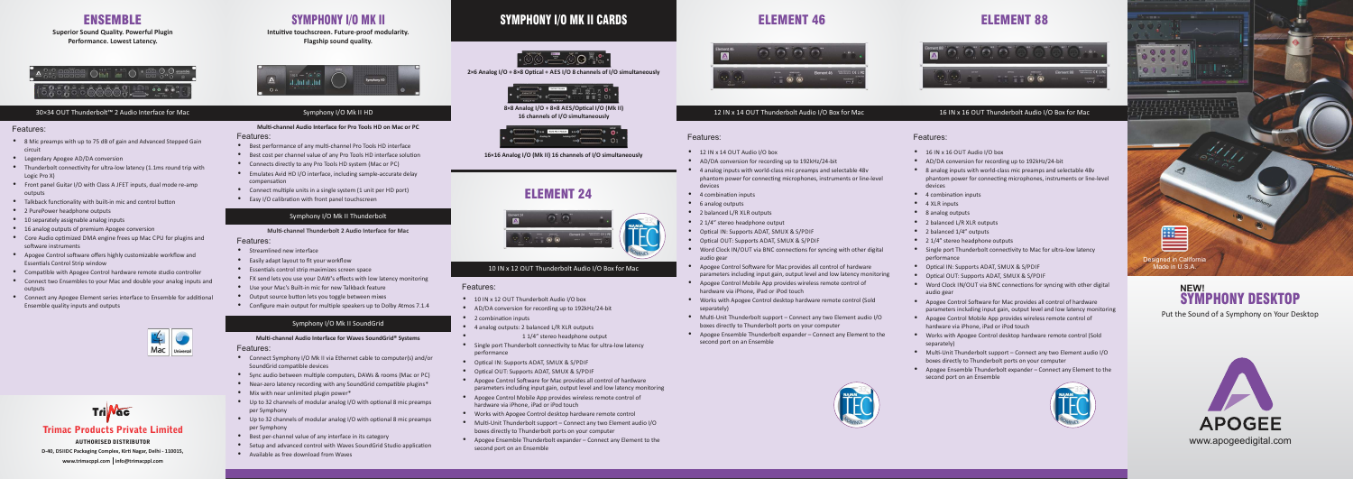## Trimac Products Private Limited

AUTHORISED DISTRIBUTOR **www.trimacppl.com info@trimacppl.com D-40, DSIIDC Packaging Complex, Kirti Nagar, Delhi - 110015,** 

## ENSEMBLE

**Superior Sound Quality. Powerful Plugin Performance. Lowest Latency.**



- <sup>•</sup> 8 Mic preamps with up to 75 dB of gain and Advanced Stepped Gain circuit
- Legendary Apogee AD/DA conversion
- $\bullet$  Thunderbolt connectivity for ultra-low latency (1.1ms round trip with Logic Pro X)
- $\bullet$  Front panel Guitar I/O with Class A JFET inputs, dual mode re-amp outputs
- $\bullet$  Talkback functionality with built-in mic and control button
- 2 PurePower headphone outputs
- $\bullet$  10 separately assignable analog inputs
- 16 analog outputs of premium Apogee conversion
- $\bullet$  Core Audio optimized DMA engine frees up Mac CPU for plugins and software instruments
- Apogee Control software offers highly customizable workflow and **Essentials Control Strip window**
- $\bullet$  Compatible with Apogee Control hardware remote studio controller
- Connect two Ensembles to your Mac and double your analog inputs and outputs
- Connect any Apogee Element series interface to Ensemble for additional Ensemble quality inputs and outputs



# $Tri$   $Nac$

### 30×34 OUT Thunderbolt™ 2 Audio Interface for Mac

### Features: **Multi-channel Audio Interface for Pro Tools HD on Mac or PC**

- <sup>O</sup> Best performance of any multi-channel Pro Tools HD interface
- <sup>O</sup> Best cost per channel value of any Pro Tools HD interface solution
- Connects directly to any Pro Tools HD system (Mac or PC)
- $\bullet$  Emulates Avid HD I/O interface, including sample-accurate delay compensation
- $\bullet$  Connect multiple units in a single system (1 unit per HD port)
- $\bullet$  Easy I/O calibration with front panel touchscreen

### Symphony I/O Mk II Thunderbolt

### **Multi-channel Thunderbolt 2 Audio Interface for Mac**

### Features:

## Features:

- $\bullet$  Streamlined new interface
- $\bullet$  Easily adapt layout to fit your workflow
- $\bullet$  Essentials control strip maximizes screen space
- $\bullet$  FX send lets you use your DAW's effects with low latency monitoring
- $\bullet$  Use your Mac's Built-in mic for new Talkback feature
- Output source button lets you toggle between mixes
- Configure main output for multiple speakers up to Dolby Atmos 7.1.4

Features:

- Connect Symphony I/O Mk II via Ethernet cable to computer(s) and/or SoundGrid compatible devices
- Sync audio between multiple computers, DAWs & rooms (Mac or PC)
- $\bullet$  Near-zero latency recording with any SoundGrid compatible plugins\*
- $\bullet$  Mix with near unlimited plugin power\*
- $\bullet$  Up to 32 channels of modular analog I/O with optional 8 mic preamps per Symphony
- $\bullet$  Up to 32 channels of modular analog I/O with optional 8 mic preamps per Symphony
- $\bullet$  Best per-channel value of any interface in its category
- Setup and advanced control with Waves SoundGrid Studio application
- $\bullet$  Available as free download from Waves

Features: Features:

Intuitive touchscreen. Future-proof modularity. **Flagship sound quality.**



- $\bullet$  12 IN x 14 OUT Audio I/O box
- $\bullet$  AD/DA conversion for recording up to 192kHz/24-bit
- 4 analog inputs with world-class mic preamps and selectable 48y
- phantom power for connecting microphones, instruments or line-level
	-
- $\bullet$  2 balanced L/R XLR outputs
- $\bullet$  2 1/4" stereo headphone output
- $\bullet$  Optical IN: Supports ADAT, SMUX & S/PDIF
- $\bullet$  Optical OUT: Supports ADAT, SMUX & S/PDIF
- Apogee Control Software for Mac provides all control of hardware parameters including input gain, output level and low latency monitoring
- Apogee Control Mobile App provides wireless remote control of hardware via iPhone, iPad or iPod touch
- Works with Apogee Control desktop hardware remote control (Sold
- $\bullet$  Apogee Ensemble Thunderbolt expander Connect any Element to the second port on an Ensemble



- $\bullet$  16 IN x 16 OUT Audio I/O box
- $\bullet$  AD/DA conversion for recording up to 192kHz/24-bit
- $\bullet$  8 analog inputs with world-class mic preamps and selectable 48y phantom power for connecting microphones, instruments or line-level devices
- $\bullet$  4 combination inputs
- $\bullet$  4 XLR inputs
- 8 analog outputs
- $\bullet$  2 balanced L/R XLR outputs
- $\bullet$  2 balanced  $1/4$ " outputs
- $\bullet$  2 1/4" stereo headphone outputs
- Single port Thunderbolt connectivity to Mac for ultra-low latency performance
- $\bullet$  Optical IN: Supports ADAT, SMUX & S/PDIF
- $\bullet$  Optical OUT: Supports ADAT, SMUX & S/PDIF
- Word Clock IN/OUT via BNC connections for syncing with other digital audio gear
- Apogee Control Software for Mac provides all control of hardware parameters including input gain, output level and low latency monitoring
- Apogee Control Mobile App provides wireless remote control of hardware via iPhone, iPad or iPod touch
- Works with Apogee Control desktop hardware remote control (Sold separately)
- $\bullet$  Multi-Unit Thunderbolt support Connect any two Element audio I/O boxes directly to Thunderbolt ports on your computer
- $\bullet$  Apogee Ensemble Thunderbolt expander Connect any Element to the second port on an Ensemble



# SYMPHONY I/O MK II

## Symphony I/O Mk II HD

## Symphony I/O Mk II SoundGrid

### **Multi-channel Audio Interface for Waves SoundGrid® Systems**

ELEMENT 46 ELEMENT 88



- $\bullet$  10 IN x 12 OUT Thunderbolt Audio I/O box
- $\bullet$  AD/DA conversion for recording up to 192kHz/24-bit
- $\bullet$  2 combination inputs
- $\bullet$  4 analog outputs: 2 balanced L/R XLR outputs
	- 1 1/4" stereo headphone output
- Single port Thunderbolt connectivity to Mac for ultra-low latency performance
- $\bullet$  Optical IN: Supports ADAT, SMUX & S/PDIF
- $\bullet$  Optical OUT: Supports ADAT, SMUX & S/PDIF
- Apogee Control Software for Mac provides all control of hardware parameters including input gain, output level and low latency monitoring
- Apogee Control Mobile App provides wireless remote control of hardware via iPhone, iPad or iPod touch
- Works with Apogee Control desktop hardware remote control
- $\bullet$  Multi-Unit Thunderbolt support Connect any two Element audio I/O boxes directly to Thunderbolt ports on your computer
- Apogee Ensemble Thunderbolt expander Connect any Element to the second port on an Ensemble



- -
	- devices  $\bullet$  4 combination inputs
	- 6 analog outputs
	-
	-
	-
	- Word Clock IN/OUT via BNC connections for syncing with other digital audio gear
	-
	-
	- separately)
	- $\bullet$  Multi-Unit Thunderbolt support Connect any two Element audio I/O boxes directly to Thunderbolt ports on your computer
	-
- 
- 
- -



12 IN x 14 OUT Thunderbolt Audio I/O Box for Mac

## 16 IN x 16 OUT Thunderbolt Audio I/O Box for Mac





# ELEMENT 24





# SYMPHONY I/O MK II CARDS



2×6 Analog I/O + 8×8 Optical + AES I/O 8 channels of I/O simultaneously



**8×8 Analog I/O + 8×8 AES/Opcal I/O (Mk II) 16 channels of I/O simultaneously**



**16×16 Analog I/O (Mk II) 16 channels of I/O simultaneously**

### Features:

## 10 IN x 12 OUT Thunderbolt Audio I/O Box for Mac

Put the Sound of a Symphony on Your Desktop

## SYMPHONY DESKTOP **NEW!**